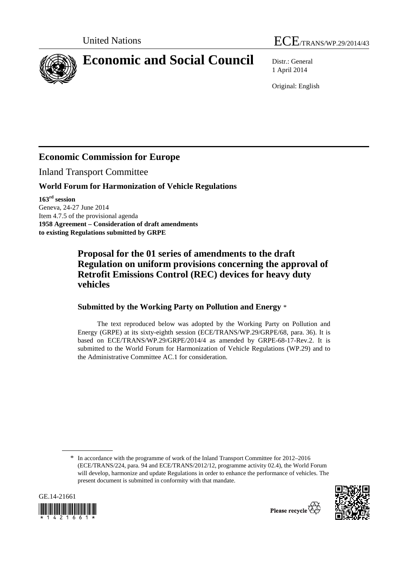



# **Economic and Social Council** Distr.: General

1 April 2014

Original: English

# **Economic Commission for Europe**

Inland Transport Committee

#### **World Forum for Harmonization of Vehicle Regulations**

**163rd session**  Geneva, 24-27 June 2014 Item 4.7.5 of the provisional agenda **1958 Agreement – Consideration of draft amendments to existing Regulations submitted by GRPE** 

## **Proposal for the 01 series of amendments to the draft Regulation on uniform provisions concerning the approval of Retrofit Emissions Control (REC) devices for heavy duty vehicles**

#### **Submitted by the Working Party on Pollution and Energy** \*

The text reproduced below was adopted by the Working Party on Pollution and Energy (GRPE) at its sixty-eighth session (ECE/TRANS/WP.29/GRPE/68, para. 36). It is based on ECE/TRANS/WP.29/GRPE/2014/4 as amended by GRPE-68-17-Rev.2. It is submitted to the World Forum for Harmonization of Vehicle Regulations (WP.29) and to the Administrative Committee AC.1 for consideration.

<sup>\*</sup> In accordance with the programme of work of the Inland Transport Committee for 2012–2016 (ECE/TRANS/224, para. 94 and ECE/TRANS/2012/12, programme activity 02.4), the World Forum will develop, harmonize and update Regulations in order to enhance the performance of vehicles. The present document is submitted in conformity with that mandate.



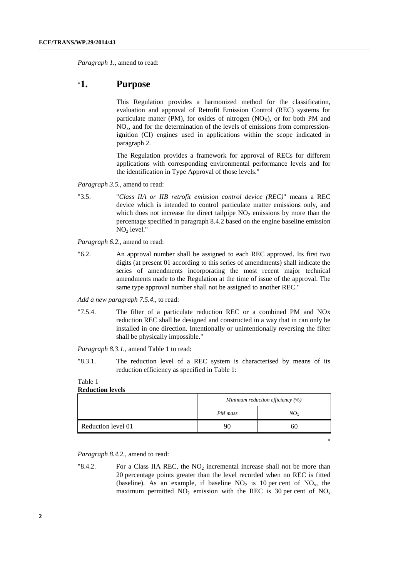*Paragraph 1.*, amend to read:

#### "**1. Purpose**

This Regulation provides a harmonized method for the classification, evaluation and approval of Retrofit Emission Control (REC) systems for particulate matter (PM), for oxides of nitrogen (NO<sub>x</sub>), or for both PM and  $NO<sub>x</sub>$ , and for the determination of the levels of emissions from compressionignition (CI) engines used in applications within the scope indicated in paragraph 2.

The Regulation provides a framework for approval of RECs for different applications with corresponding environmental performance levels and for the identification in Type Approval of those levels."

*Paragraph 3.5.*, amend to read:

"3.5. "*Class IIA or IIB retrofit emission control device (REC)*" means a REC device which is intended to control particulate matter emissions only, and which does not increase the direct tailpipe  $NO<sub>2</sub>$  emissions by more than the percentage specified in paragraph 8.4.2 based on the engine baseline emission  $NO<sub>2</sub>$  level."

*Paragraph 6.2.*, amend to read:

"6.2. An approval number shall be assigned to each REC approved. Its first two digits (at present 01 according to this series of amendments) shall indicate the series of amendments incorporating the most recent major technical amendments made to the Regulation at the time of issue of the approval. The same type approval number shall not be assigned to another REC."

*Add a new paragraph 7.5.4.*, to read:

"7.5.4. The filter of a particulate reduction REC or a combined PM and NOx reduction REC shall be designed and constructed in a way that in can only be installed in one direction. Intentionally or unintentionally reversing the filter shall be physically impossible."

*Paragraph 8.3.1.*, amend Table 1 to read:

"8.3.1. The reduction level of a REC system is characterised by means of its reduction efficiency as specified in Table 1:

#### Table 1 **Reduction levels**

| ncuucuon ic vers   |                                    |                 |  |  |  |  |  |  |  |  |  |
|--------------------|------------------------------------|-----------------|--|--|--|--|--|--|--|--|--|
|                    | Minimum reduction efficiency $(%)$ |                 |  |  |  |  |  |  |  |  |  |
|                    | PM mass                            | NO <sub>X</sub> |  |  |  |  |  |  |  |  |  |
| Reduction level 01 | 90                                 | 60              |  |  |  |  |  |  |  |  |  |
|                    |                                    |                 |  |  |  |  |  |  |  |  |  |

"

*Paragraph 8.4.2.*, amend to read:

"8.4.2. For a Class IIA REC, the  $NO<sub>2</sub>$  incremental increase shall not be more than 20 percentage points greater than the level recorded when no REC is fitted (baseline). As an example, if baseline  $NO<sub>2</sub>$  is 10 per cent of  $NO<sub>x</sub>$ , the maximum permitted  $NO_2$  emission with the REC is 30 per cent of  $NO_x$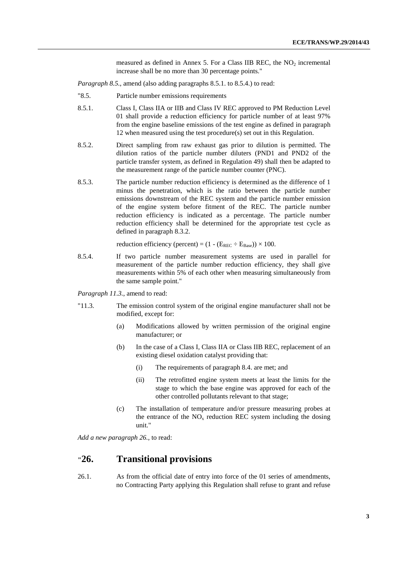measured as defined in Annex 5. For a Class IIB REC, the  $NO<sub>2</sub>$  incremental increase shall be no more than 30 percentage points."

*Paragraph 8.5.*, amend (also adding paragraphs 8.5.1. to 8.5.4.) to read:

- "8.5. Particle number emissions requirements
- 8.5.1. Class I, Class IIA or IIB and Class IV REC approved to PM Reduction Level 01 shall provide a reduction efficiency for particle number of at least 97% from the engine baseline emissions of the test engine as defined in paragraph 12 when measured using the test procedure(s) set out in this Regulation.
- 8.5.2. Direct sampling from raw exhaust gas prior to dilution is permitted. The dilution ratios of the particle number diluters (PND1 and PND2 of the particle transfer system, as defined in Regulation 49) shall then be adapted to the measurement range of the particle number counter (PNC).
- 8.5.3. The particle number reduction efficiency is determined as the difference of 1 minus the penetration, which is the ratio between the particle number emissions downstream of the REC system and the particle number emission of the engine system before fitment of the REC. The particle number reduction efficiency is indicated as a percentage. The particle number reduction efficiency shall be determined for the appropriate test cycle as defined in paragraph 8.3.2.

reduction efficiency (percent) =  $(1 - (E_{REC} \div E_{Base})) \times 100$ .

8.5.4. If two particle number measurement systems are used in parallel for measurement of the particle number reduction efficiency, they shall give measurements within 5% of each other when measuring simultaneously from the same sample point."

*Paragraph 11.3.*, amend to read:

- "11.3. The emission control system of the original engine manufacturer shall not be modified, except for:
	- (a) Modifications allowed by written permission of the original engine manufacturer; or
	- (b) In the case of a Class I, Class IIA or Class IIB REC, replacement of an existing diesel oxidation catalyst providing that:
		- (i) The requirements of paragraph 8.4. are met; and
		- (ii) The retrofitted engine system meets at least the limits for the stage to which the base engine was approved for each of the other controlled pollutants relevant to that stage;
	- (c) The installation of temperature and/or pressure measuring probes at the entrance of the  $NO<sub>x</sub>$  reduction REC system including the dosing unit."

*Add a new paragraph 26.*, to read:

#### **"26. Transitional provisions**

26.1. As from the official date of entry into force of the 01 series of amendments, no Contracting Party applying this Regulation shall refuse to grant and refuse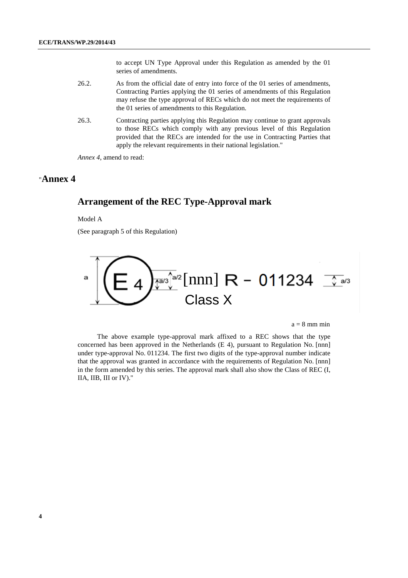to accept UN Type Approval under this Regulation as amended by the 01 series of amendments.

- 26.2. As from the official date of entry into force of the 01 series of amendments, Contracting Parties applying the 01 series of amendments of this Regulation may refuse the type approval of RECs which do not meet the requirements of the 01 series of amendments to this Regulation.
- 26.3. Contracting parties applying this Regulation may continue to grant approvals to those RECs which comply with any previous level of this Regulation provided that the RECs are intended for the use in Contracting Parties that apply the relevant requirements in their national legislation."

*Annex 4*, amend to read:

#### "**Annex 4**

#### **Arrangement of the REC Type-Approval mark**

Model A

(See paragraph 5 of this Regulation)



 $a = 8$  mm min

 The above example type-approval mark affixed to a REC shows that the type concerned has been approved in the Netherlands (E 4), pursuant to Regulation No. [nnn] under type-approval No. 011234. The first two digits of the type-approval number indicate that the approval was granted in accordance with the requirements of Regulation No. [nnn] in the form amended by this series. The approval mark shall also show the Class of REC (I, IIA, IIB, III or IV)."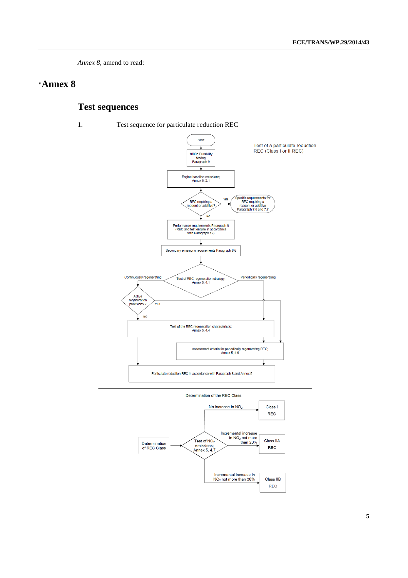*Annex 8*, amend to read:

#### "**Annex 8**

# **Test sequences**

1. Test sequence for particulate reduction REC



Incremental increase in<br> $NO<sub>2</sub>$  not more than  $30\%$ 

Class IIB **REC**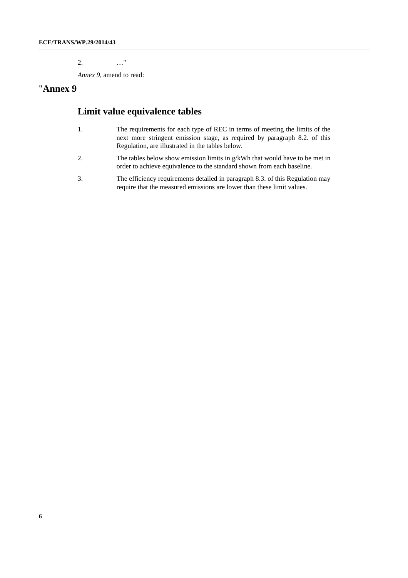2. …"

*Annex 9*, amend to read:

### "**Annex 9**

# **Limit value equivalence tables**

- 1. The requirements for each type of REC in terms of meeting the limits of the next more stringent emission stage, as required by paragraph 8.2. of this Regulation, are illustrated in the tables below.
- 2. The tables below show emission limits in g/kWh that would have to be met in order to achieve equivalence to the standard shown from each baseline.
- 3. The efficiency requirements detailed in paragraph 8.3. of this Regulation may require that the measured emissions are lower than these limit values.